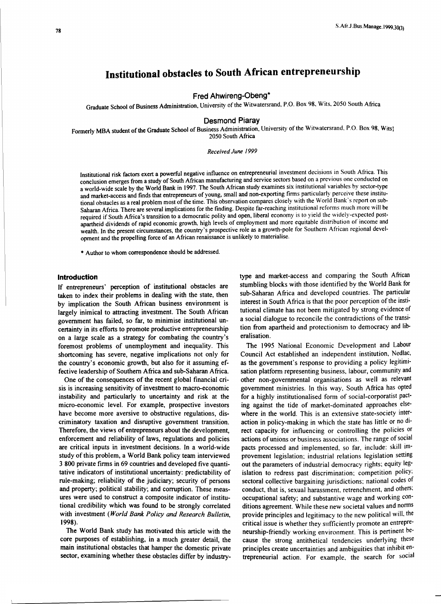# **Institutional obstacles to South African entrepreneurship**

**Fred Ahwireng-Obeng\*** 

Graduate School of Business Administration. University of the Witwatersrand, P.O. Box 98. Wits, 2050 South Africa

#### **Desmond Piaray**

Formerly MBA student of the Graduate School of Business Administration, University of the Witwatersrand. P.O. Box 98, Wits) 2050 South Africa

#### *Received June /999*

Institutional risk factors exert a powerful negative influence on entrepreneurial investment decisions in South Africa. This conclusion emerges from a study of South African manufacturing and service sectors based on a previous one conducted on a world-wide scale by the World Bank in 1997. The South African study examines six institutional variables by sector-type and market-access and finds that entrepreneurs of young, small and non-exporting firms particularly perceive these institutional obstacles as a real problem most of the time. This observation compares closely with the World Bank· s report on sub-Saharan Africa. There are several implications for the finding. Despite far-reaching institutional reforms much more will be required if South Africa's transition to a democratic polity and open, liberal economy is to yield the widely-expected postapartheid dividends of rapid economic growth, high levels of employment and more equitable distribution of income and wealth. In the present circumstances, the country's prospective role as a growth-pole for Southern African regional development and the propelling force of an African renaissance is unlikely to materialise.

• Author to whom correspondence should be addressed.

## **Introduction**

If entrepreneurs' perception of institutional obstacles are taken to index their problems in dealing with the state, then by implication the South African business environment is largely inimical to attracting investment. The South African government has failed, so far, to minimise institutional uncertainty in its efforts to promote productive entrepreneurship on a large scale as a strategy for combating the country's foremost problems of unemployment and inequality. This shortcoming has severe, negative implications not only for the country's economic growth, but also for it assuming effective leadership of Southern Africa and sub-Saharan Africa.

One of the consequences of the recent global financial crisis is increasing sensitivity of investment to macro-economic instability and particularly to uncertainty and risk at the micro-economic level. For example, prospective investors have become more aversive to obstructive regulations, discriminatory taxation and disruptive government transition. Therefore, the views of entrepreneurs about the development, enforcement and reliability of laws, regulations and policies are critical inputs in investment decisions. In a world-wide study of this problem, a World Bank policy team interviewed 3 800 private firms in 69 countries and developed five quantitative indicators of institutional uncertainty: predictability of rule-making; reliability of the judiciary; security of persons and property; political stability; and corruption. These measures were used to construct a composite indicator of institutional credibility which was found to be strongly correlated with investment *(World Bank Policy and Research Bulletin,*  1998).

The World Bank study has motivated this article with the core purposes of establishing, in a much greater detail, the main institutional obstacles that hamper the domestic private sector, examining whether these obstacles differ by industrytype and market-access and comparing the South African stumbling blocks with those identified by the World Bank for sub-Saharan Africa and developed countries. The particular interest in South Africa is that the poor perception of the institutional climate has not been mitigated by strong evidence of a social dialogue to reconcile the contradictions of the transition from apartheid and protectionism to democracy and liberalisation.

The 1995 National Economic Development and Labour Council Act established an independent institution, Nedlac, as the government's response to providing a policy legitimisation platform representing business. labour, community and other non-governmental organisations as well as relevant government ministries. In this way. South Africa has opted for a highly institutionalised form of social-corporatist pacting against the tide of market-dominated approaches elsewhere in the world. This is an extensive state-society interaction in policy-making in which the state has little or no direct capacity for influencing or controlling the policies or actions of unions or business associations. The range of social pacts processed and implemented. so far, include: skill improvement legislation; industrial relations legislation setting out the parameters of industrial democracy rights; equity legislation to redress past discrimination; competition policy; sectoral collective bargaining jurisdictions; national codes of conduct, that is, sexual harassment. retrenchment. and others; occupational safety; and substantive wage and working conditions agreement. While these new societal values and norms provide principles and legitimacy to the new political will. the critical issue is whether they sufficiently promote an entrepreneurship-friendly working environment. This is pertinent because the strong antithetical tendencies underlying these principles create uncertainties and ambiguities that inhibit entrepreneurial action. For example. the search for social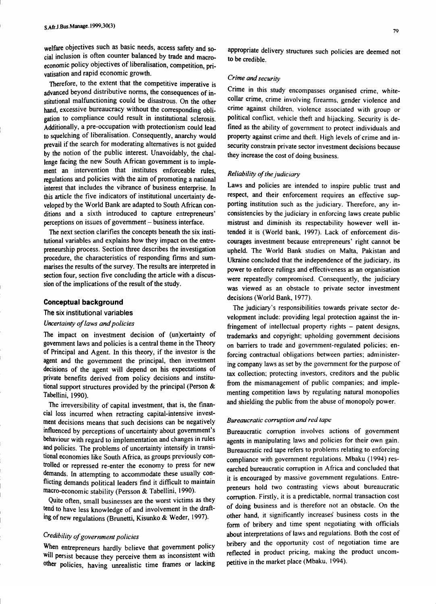welfare objectives such as basic needs, access safety and social inclusion is often counter balanced by trade and macroeconomic policy objectives of liberalisation, competition, privatisation and rapid economic growth.

Therefore, to the extent that the competitive imperative is advanced beyond distributive norms, the consequences of institutional malfunctioning could be disastrous. On the other hand, excessive bureaucracy without the corresponding obligation to compliance could result in institutional sclerosis. Additionally, a pre-occupation with protectionism could lead to squelching of liberalisation. Consequently, anarchy would prevail if the search for moderating alternatives is not guided by the notion of the public interest. Unavoidably, the challenge facing the new South African government is to implement an intervention that institutes enforceable rules, regulations and policies with the aim of promoting a national interest that includes the vibrance of business enterprise. In this article the five indicators of institutional uncertainty developed by the World Bank are adapted to South African conditions and a sixth introduced to capture entrepreneurs' perceptions on issues of government - business interface.

The next section clarifies the concepts beneath the six institutional variables and explains how they impact on the entrepreneurship process. Section three describes the investigation procedure, the characteristics of responding firms and summarises the results of the survey. The results are interpreted in section four, section five concluding the article with a discussion of the implications of the result of the study.

#### **Conceptual background**

# The six institutional variables

## *Uncertainty of laws and policies*

The impact on investment decision of (un)certainty of government laws and policies is a central theme in the Theory of Principal and Agent. In this theory, if the investor is the agent and the government the principal, then investment decisions of the agent will depend on his expectations of private benefits derived from policy decisions and institutional support structures provided by the principal (Person & Tabellini, 1990).

The irreversibility of capital investment, that is, the financial loss incurred when retracting capital-intensive investment decisions means that such decisions can be negatively influenced by perceptions of uncertainty about government's behaviour with regard to implementation and changes in rules and policies. The problems of uncertainty intensify in transitional economies like South Africa, as groups previously controlled or repressed re-enter the economy to press for new demands. In attempting to accommodate these usually conflicting demands political leaders find it difficult to maintain macro-economic stability (Persson & Tabellini, 1990).

Quite often, small businesses are the worst victims as they tend to have less knowledge of and involvement in the drafting of new regulations (Brunetti, Kisunko & Weder, 1997).

# *Credibility of government policies*

When entrepreneurs hardly believe that government policy will persist because they perceive them as inconsistent with other policies, having unrealistic time frames or lacking

appropriate delivery structures such policies are deemed not to be credible.

#### *Crime and security*

Crime in this study encompasses organised crime, whitecollar crime, crime involving firearms, gender violence and crime against children, violence associated with group or political conflict, vehicle theft and hijacking. Security is defined as the ability of government to protect individuals and property against crime and theft. High levels of crime and insecurity constrain private sector investment decisions because they increase the cost of doing business.

#### *Reliability of the judiciary*

Laws and policies are intended to inspire public trust and respect, and their enforcement requires an effective supporting institution such as the judiciary. Therefore, any inconsistencies by the judiciary in enforcing laws create public mistrust and diminish its respectability however well intended it is (World bank, 1997). Lack of enforcement discourages investment because entrepreneurs' right cannot be upheld. The World Bank studies on Malta, Pakistan and Ukraine concluded that the independence of the judiciary, its power to enforce rulings and effectiveness as an organisation were repeatedly compromised. Consequently, the judiciary was viewed as an obstacle to private sector investment decisions (World Bank, 1977).

The judiciary's responsibilities towards private sector development include: providing legal protection against the infringement of intellectual property rights  $-$  patent designs, trademarks and copyright; upholding government decisions on barriers to trade and government-regulated policies; enforcing contractual obligations between parties; administering company laws as set by the government for the purpose of tax collection; protecting investors, creditors and the public from the mismanagement of public companies; and implementing competition laws by regulating natural monopolies and shielding the public from the abuse of monopoly power.

## *Bureaucratic corruption and red tape*

Bureaucratic corruption involves actions of government agents in manipulating laws and policies for their own gain. Bureaucratic red tape refers to problems relating to enforcing compliance with government regulations. Mbaku ( 1994) researched bureaucratic corruption in Africa and concluded that it is encouraged by massive government regulations. Entrepreneurs hold two contrasting views about bureaucratic corruption. Firstly, it is a predictable, normal transaction cost of doing business and is therefore not an obstacle. On the other hand, it significantly increases business costs in the form of bribery and time spent negotiating with officials about interpretations of laws and regulations. Both the cost of bribery and the opportunity cost of negotiation time are reflected in product pricing, making the product uncompetitive in the market place (Mbaku, 1994).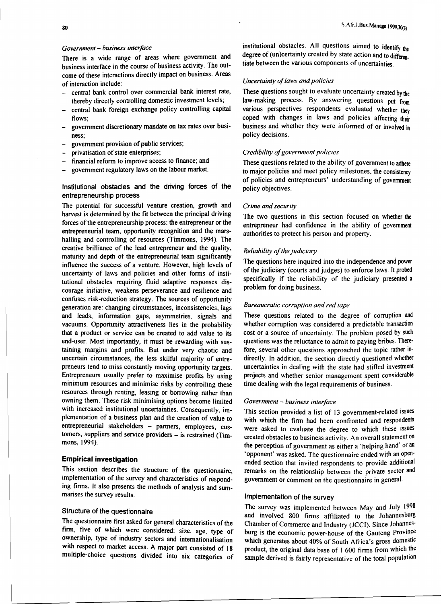#### *Government* - *business interface*

There is a wide range of areas where government and business interface in the course of business activity. The outcome of these interactions directly impact on business. Areas of interaction include:

- central bank control over commercial bank interest rate, thereby directly controlling domestic investment levels;
- central bank foreign exchange policy controlling capital flows;
- government discretionary mandate on tax rates over business;
- government provision of public services;
- privatisation of state enterprises;
- financial reform to improve access to finance; and
- government regulatory laws on the labour market.

## Institutional obstacles and the driving forces of the entrepreneurship process

The potential for successful venture creation, growth and harvest is determined by the fit between the principal driving forces of the entrepreneurship process: the entrepreneur or the entrepreneurial team, opportunity recognition and the marshalling and controlling of resources (Timmons, 1994). The creative brilliance of the lead entrepreneur and the quality, maturity and depth of the entrepreneurial team significantly influence the success of a venture. However, high levels of uncertainty of laws and policies and other forms of institutional obstacles requiring fluid adaptive responses discourage initiative, weakens perseverance and resilience and confuses risk-reduction strategy. The sources of opportunity generation are: changing circumstances, inconsistencies, lags and leads, information gaps, asymmetries, signals and vacuums. Opportunity attractiveness lies in the probability that a product or service can be created to add value to its end-user. Most importantly, it must be rewarding with sustaining margins and profits. But under very chaotic and uncertain circumstances, the less skilful majority of entrepreneurs tend to miss constantly moving opportunity targets. Entrepreneurs usually prefer to maximise profits by using minimum resources and minimise risks by controlling these resources through renting, leasing or borrowing rather than owning them. These risk minimising options become limited with increased institutional uncertainties. Consequently, implementation of a business plan and the creation of value to entrepreneurial stakeholders - partners, employees, customers, suppliers and service providers - is restrained (Timmons, 1994).

# **Empirical investigation**

This section describes the structure of the questionnaire, implementation of the survey and characteristics of responding firms. It also presents the methods of analysis and summarises the survey results.

# Structure of the questionnaire

The questionnaire first asked for general characteristics of the firm, five of which were considered: size, age, type of ownership, type of industry sectors and internationalisation with respect to market access. A major part consisted of 18 multiple-choice questions divided into six categories of

institutional obstacles. All questions aimed to identify the degree of (un)certainty created by state action and to differentiate between the various components of uncertainties.

## *Uncertainty of laws and policies*

These questions sought to evaluate uncertainty created by the law-making process. By answering questions put from various perspectives respondents evaluated whether they coped with changes in laws and policies affecting their business and whether they were informed of or involved in policy decisions.

#### *Credibility of government policies*

These questions related to the ability of government to adhere to major policies and meet policy milestones, the consistency of policies and entrepreneurs' understanding of government policy objectives.

#### *Crime and security*

The two questions in this section focused on whether the entrepreneur had confidence in the ability of government authorities to protect his person and property.

#### *Reliability of the judiciary*

The questions here inquired into the independence and power of the judiciary (courts and judges) to enforce laws. It probed specifically if the reliability of the judiciary presented a problem for doing business.

#### *Bureaucratic corruption and red tape*

These questions related to the degree of corruption and whether corruption was considered a predictable transaction cost or a source of uncertainty. The problem posed by such questions was the reluctance to admit to paying bribes. Therefore, several other questions approached the topic rather indirectly. In addition, the section directly questioned whether uncertainties in dealing with the state had stifled investment projects and whether senior management spent considerable time dealing with the legal requirements of business.

# *Government* - *business interface*

This section provided a list of 13 government-related issues with which the firm had been confronted and respondents were asked to evaluate the degree to which these issues created obstacles to business activity. An overall statement on the perception of government as either a 'helping hand' or an 'opponent' was asked. The questionnaire ended with an openended section that invited respondents to provide additional remarks on the relationship between the private sector and government or comment on the questionnaire in general.

# Implementation of the survey

The survey was implemented between May and July 1998 and involved 800 firms affiliated to the Johannesburg Chamber of Commerce and Industry (JCCI). Since Johannesburg is the economic power-house of the Gauteng Province which generates about 40% of South Africa's gross domestic product, the original data base of I 600 firms from which the sample derived is fairly representative of the total population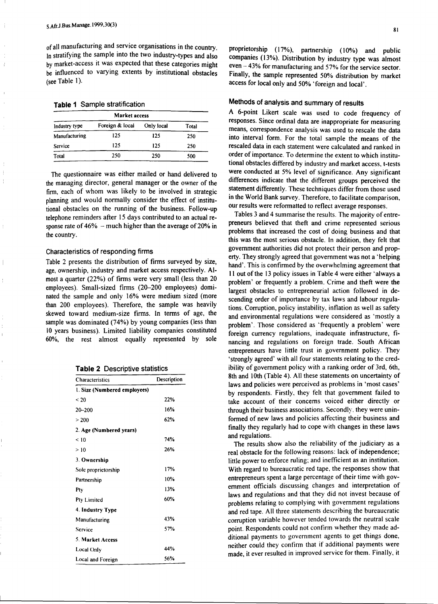of all manufacturing and service organisations in the country. In stratifying the sample into the two industry-types and also by market-access it was expected that these categories might be influenced to varying extents by institutional obstacles (see Table I).

|  |  | <b>Table 1</b> Sample stratification |  |
|--|--|--------------------------------------|--|
|--|--|--------------------------------------|--|

| <b>Market access</b> |                 |            |       |  |  |
|----------------------|-----------------|------------|-------|--|--|
| Industry type        | Foreign & local | Only local | Total |  |  |
| Manufacturing        | 125             | 125        | 250   |  |  |
| Service              | 125             | 125        | 250   |  |  |
| Total                | 250             | 250        | 500   |  |  |

The questionnaire was either mailed or hand delivered to the managing director, general manager or the owner of the firm, each of whom was likely to be involved in strategic planning and would normally consider the effect of institutional obstacles on the running of the business. Follow-up telephone reminders after 15 days contributed to an actual response rate of  $46\%$  – much higher than the average of 20% in the country.

#### Characteristics of responding firms

Table 2 presents the distribution of firms surveyed by size, age, ownership, industry and market access respectively. Almost a quarter (22%) of firms were very small (less than 20 employees). Small-sized firms (20-200 employees) dominated the sample and only 16% were medium sized (more than 200 employees). Therefore, the sample was heavily skewed toward medium-size firms. In terms of age, the sample was dominated (74%) by young companies (less than IO years business). Limited liability companies constituted 60%, the rest almost equally represented by sole

| <b>Table 2 Descriptive statistics</b> |  |
|---------------------------------------|--|
|---------------------------------------|--|

| Characteristics              | Description |
|------------------------------|-------------|
| 1. Size (Numbered employees) |             |
| < 20                         | 22%         |
| $20 - 200$                   | 16%         |
| > 200                        | 62%         |
| 2. Age (Numbered years)      |             |
| < 10                         | 74%         |
| >10                          | 26%         |
| 3. Ownership                 |             |
| Sole proprietorship          | 17%         |
| Partnership                  | 10%         |
| Ptv                          | 13%         |
| Pty Limited                  | 60%         |
| 4. Industry Type             |             |
| Manufacturing                | 43%         |
| Service                      | 57%         |
| 5. Market Access             |             |
| Local Only                   | 44%         |
| Local and Foreign            | 56%         |

proprietorship (17%), partnership (10%) and public companies (13%). Distribution by industry type was almost even - 43% for manufacturing and 57% for the service sector. Finally, the sample represented 50% distribution by market access for local only and 50% 'foreign and local'.

# Methods of analysis and summary of results

A 6-point Likert scale was used to code frequency of responses. Since ordinal data are inappropriate for measuring means, correspondence analysis was used to rescale the data into interval form. For the total sample the means of the rescaled data in each statement were calculated and ranked in order of importance. To determine the extent to which institutional obstacles differed by industry and market access, t-tests were conducted at 5% level of significance. Any significant differences indicate that the different groups perceived the statement differently. These techniques differ from those used in the World Bank survey. Therefore, to facilitate comparison, our results were reformatted to reflect average responses.

Tables 3 and 4 summarise the results. The majority of entrepreneurs believed that theft and crime represented serious problems that increased the cost of doing business and that this was the most serious obstacle. In addition, they felt that government authorities did not protect their person and property. They strongly agreed that government was not a 'helping hand'. This is confirmed by the overwhelming agreement that 11 out of the 13 policy issues in Table 4 were either 'always a problem' or frequently a problem. Crime and theft were the largest obstacles to entrepreneurial action followed in descending order of importance by tax laws and labour regulations. Corruption, policy instability, inflation as well as safety and environmental regulations were considered as 'mostly a problem'. Those considered as 'frequently a problem' were foreign currency regulations, inadequate infrastructure, financing and regulations on foreign trade. South African entrepreneurs have little trust in government policy. They 'strongly agreed' with all four statements relating to the credibility of government policy with a ranking order of 3rd, 6th, 8th and 10th (Table 4). All these statements on uncertainty of laws and policies were perceived as problems in 'most cases' by respondents. Firstly, they felt that government failed to take account of their concerns voiced either directly or through their business associations. Secondly. they were uninformed of new laws and policies affecting their business and finally they regularly had to cope with changes in these laws and regulations.

The results show also the reliability of the judiciary as a real obstacle for the following reasons: lack of independence; little power to enforce ruling; and inefficient as an institution. With regard to bureaucratic red tape, the responses show that entrepreneurs spent a large percentage of their time with government officials discussing changes and interpretation of laws and regulations and that they did not invest because of problems relating to complying with government regulations and red tape. All three statements describing the bureaucratic corruption variable however tended towards the neutral scale point. Respondents could not confirm whether they made additional payments to government agents to get things done, neither could they confirm that if additional payments were made, it ever resulted in improved service for them. Finally, it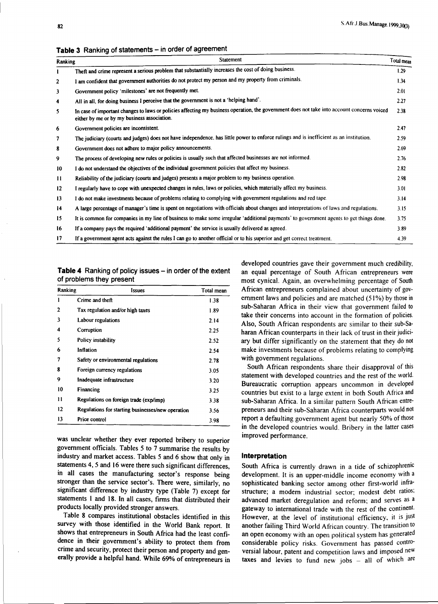| <b>Ranking</b> | Statement                                                                                                                                                                                                                                                                                                                                                                                                                                                                                                                                                                                                                                                                                                                                                                                                                                                                                                                                                                                                                                                                                                                                                                                                                                                                                                                                                                                                                                                                                                                                                                                                                                 | Total mean |
|----------------|-------------------------------------------------------------------------------------------------------------------------------------------------------------------------------------------------------------------------------------------------------------------------------------------------------------------------------------------------------------------------------------------------------------------------------------------------------------------------------------------------------------------------------------------------------------------------------------------------------------------------------------------------------------------------------------------------------------------------------------------------------------------------------------------------------------------------------------------------------------------------------------------------------------------------------------------------------------------------------------------------------------------------------------------------------------------------------------------------------------------------------------------------------------------------------------------------------------------------------------------------------------------------------------------------------------------------------------------------------------------------------------------------------------------------------------------------------------------------------------------------------------------------------------------------------------------------------------------------------------------------------------------|------------|
| 1              | Theft and crime represent a serious problem that substantially increases the cost of doing business.<br>1.29<br>I am confident that government authorities do not protect my person and my property from criminals.<br>1.34<br>Government policy 'milestones' are not frequently met.<br>2.01<br>All in all, for doing business I perceive that the government is not a 'helping hand'.<br>2.27<br>In case of important changes to laws or policies affecting my business operation, the government does not take into account concerns voiced<br>2.38<br>either by me or by my business association.<br>2.47<br>Government policies are inconsistent.<br>The judiciary (courts and judges) does not have independence, has little power to enforce rulings and is inefficient as an institution.<br>2.59<br>Government does not adhere to major policy announcements.<br>2.69<br>The process of developing new rules or policies is usually such that affected businesses are not informed.<br>2.76<br>I do not understand the objectives of the individual government policies that affect my business.<br>2.82<br>Reliability of the judiciary (courts and judges) presents a major problem to my business operation.<br>2.98<br>I regularly have to cope with unexpected changes in rules, laws or policies, which materially affect my business.<br>3.01<br>I do not make investments because of problems relating to complying with government regulations and red tape.<br>3.14<br>A large percentage of manager's time is spent on negotiations with officials about changes and interpretations of laws and regulations.<br>3.15 |            |
| $\overline{2}$ |                                                                                                                                                                                                                                                                                                                                                                                                                                                                                                                                                                                                                                                                                                                                                                                                                                                                                                                                                                                                                                                                                                                                                                                                                                                                                                                                                                                                                                                                                                                                                                                                                                           |            |
| 3              |                                                                                                                                                                                                                                                                                                                                                                                                                                                                                                                                                                                                                                                                                                                                                                                                                                                                                                                                                                                                                                                                                                                                                                                                                                                                                                                                                                                                                                                                                                                                                                                                                                           |            |
| 4              |                                                                                                                                                                                                                                                                                                                                                                                                                                                                                                                                                                                                                                                                                                                                                                                                                                                                                                                                                                                                                                                                                                                                                                                                                                                                                                                                                                                                                                                                                                                                                                                                                                           |            |
| 5              |                                                                                                                                                                                                                                                                                                                                                                                                                                                                                                                                                                                                                                                                                                                                                                                                                                                                                                                                                                                                                                                                                                                                                                                                                                                                                                                                                                                                                                                                                                                                                                                                                                           |            |
| 6              |                                                                                                                                                                                                                                                                                                                                                                                                                                                                                                                                                                                                                                                                                                                                                                                                                                                                                                                                                                                                                                                                                                                                                                                                                                                                                                                                                                                                                                                                                                                                                                                                                                           |            |
| 7              |                                                                                                                                                                                                                                                                                                                                                                                                                                                                                                                                                                                                                                                                                                                                                                                                                                                                                                                                                                                                                                                                                                                                                                                                                                                                                                                                                                                                                                                                                                                                                                                                                                           |            |
| 8              |                                                                                                                                                                                                                                                                                                                                                                                                                                                                                                                                                                                                                                                                                                                                                                                                                                                                                                                                                                                                                                                                                                                                                                                                                                                                                                                                                                                                                                                                                                                                                                                                                                           |            |
| 9              |                                                                                                                                                                                                                                                                                                                                                                                                                                                                                                                                                                                                                                                                                                                                                                                                                                                                                                                                                                                                                                                                                                                                                                                                                                                                                                                                                                                                                                                                                                                                                                                                                                           |            |
| 10             |                                                                                                                                                                                                                                                                                                                                                                                                                                                                                                                                                                                                                                                                                                                                                                                                                                                                                                                                                                                                                                                                                                                                                                                                                                                                                                                                                                                                                                                                                                                                                                                                                                           |            |
| 11             |                                                                                                                                                                                                                                                                                                                                                                                                                                                                                                                                                                                                                                                                                                                                                                                                                                                                                                                                                                                                                                                                                                                                                                                                                                                                                                                                                                                                                                                                                                                                                                                                                                           |            |
| 12             |                                                                                                                                                                                                                                                                                                                                                                                                                                                                                                                                                                                                                                                                                                                                                                                                                                                                                                                                                                                                                                                                                                                                                                                                                                                                                                                                                                                                                                                                                                                                                                                                                                           |            |
| 13             |                                                                                                                                                                                                                                                                                                                                                                                                                                                                                                                                                                                                                                                                                                                                                                                                                                                                                                                                                                                                                                                                                                                                                                                                                                                                                                                                                                                                                                                                                                                                                                                                                                           |            |
| 14             |                                                                                                                                                                                                                                                                                                                                                                                                                                                                                                                                                                                                                                                                                                                                                                                                                                                                                                                                                                                                                                                                                                                                                                                                                                                                                                                                                                                                                                                                                                                                                                                                                                           |            |
| 15             | It is common for companies in my line of business to make some irregular 'additional payments' to government agents to get things done.                                                                                                                                                                                                                                                                                                                                                                                                                                                                                                                                                                                                                                                                                                                                                                                                                                                                                                                                                                                                                                                                                                                                                                                                                                                                                                                                                                                                                                                                                                   | 3.75       |
| 16             | If a company pays the required 'additional payment' the service is usually delivered as agreed.                                                                                                                                                                                                                                                                                                                                                                                                                                                                                                                                                                                                                                                                                                                                                                                                                                                                                                                                                                                                                                                                                                                                                                                                                                                                                                                                                                                                                                                                                                                                           | 3.89       |
| 17             | If a government agent acts against the rules I can go to another official or to his superior and get correct treatment.                                                                                                                                                                                                                                                                                                                                                                                                                                                                                                                                                                                                                                                                                                                                                                                                                                                                                                                                                                                                                                                                                                                                                                                                                                                                                                                                                                                                                                                                                                                   | 4.39       |

**Table 3** Ranking of statements - in order of agreement

| <b>Table 4</b> Ranking of policy issues – in order of the extent |  |  |  |
|------------------------------------------------------------------|--|--|--|
| of problems they present                                         |  |  |  |

| Ranking | Issues                                            | Total mean |
|---------|---------------------------------------------------|------------|
| ı       | Crime and theft                                   | 138        |
| 2       | Tax regulation and/or high taxes                  | 1.89       |
| 3       | Labour regulations                                | 2.14       |
| 4       | Corruption                                        | 2.25       |
| 5       | Policy instability                                | 2.52       |
| 6       | Inflation                                         | 2.54       |
| 7       | Safety or environmental regulations               | 2.78       |
| 8       | Foreign currency regulations                      | 3.05       |
| 9       | Inadequate infrastructure                         | 3.20       |
| 10      | Financing                                         | 3.25       |
| 11      | Regulations on foreign trade (exp/imp)            | 3.38       |
| 12      | Regulations for starting businesses/new operation | 3.56       |
| 13      | Price control                                     | 3.98       |

was unclear whether they ever reported bribery to superior government officials. Tables 5 to 7 summarise the results by industry and market access. Tables 5 and 6 show that only in statements 4, 5 and 16 were there such significant differences, in all cases the manufacturing sector's response being stronger than the service sector's. There were, similarly, no significant difference by industry type (Table 7) except for statements I and 18. In all cases, firms that distributed their products locally provided stronger answers.

Table 8 compares institutional obstacles identified in this survey with those identified in the World Bank report. It shows that entrepreneurs in South Africa had the least confidence in their government's ability to protect them from crime and security, protect their person and property and generally provide a helpful hand. While 69% of entrepreneurs in developed countries gave their government much credibility, an equal percentage of South African entrepreneurs were most cynical. Again, an overwhelming percentage of South African entrepreneurs complained about uncertainty of government laws and policies and are matched (51%) by those in sub-Saharan Africa in their view that government failed to take their concerns into account in the formation of policies. Also, South African respondents are similar to their sub-Saharan African counterparts in their lack of trust in their judiciary but differ significantly on the statement that they do not make investments because of problems relating to complying with government regulations.

South African respondents share their disapproval of this statement with developed countries and the rest of the world. Bureaucratic corruption appears uncommon in developed countries but exist to a large extent in both South Africa and sub-Saharan Africa. In a similar pattern South African entrepreneurs and their sub-Saharan Africa counterparts would not report a defaulting government agent but nearly 50% of those in the developed countries would. Bribery in the latter cases improved performance.

# **Interpretation**

South Africa is currently drawn in a tide of schizophrenic development. It is an upper-middle income economy with a sophisticated banking sector among other first-world infrastructure; a modem industrial sector; modest debt ratios; advanced market deregulation and reform; and serves as a gateway to international trade with the rest of the continent. However, at the level of institutional efficiency, it is just another failing Third World African country. The transition to an open economy with an open political system has generated considerable policy risks. Government has passed controversial labour, patent and competition laws and imposed new taxes and levies to fund new jobs  $-$  all of which are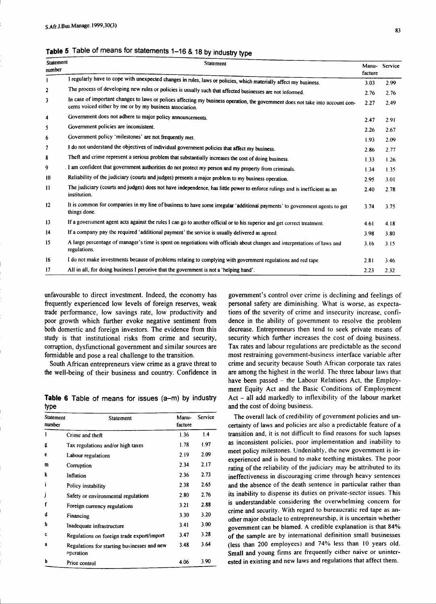|  |  |  |  |  |  |  |  | Table 5 Table of means for statements 1–16 & 18 by industry type |  |
|--|--|--|--|--|--|--|--|------------------------------------------------------------------|--|
|--|--|--|--|--|--|--|--|------------------------------------------------------------------|--|

| Statement<br>number | Statement                                                                                                                                                                                   | facture | Manu-Service |
|---------------------|---------------------------------------------------------------------------------------------------------------------------------------------------------------------------------------------|---------|--------------|
|                     | I regularly have to cope with unexpected changes in rules, laws or policies, which materially affect my business.                                                                           | 3.03    | 2.99         |
| 2                   | The process of developing new rules or policies is usually such that affected businesses are not informed.                                                                                  | 2.76    | 2.76         |
| 3                   | In case of important changes to laws or polices affecting my business operation, the government does not take into account con-<br>cerns voiced either by me or by my business association. | 2.27    | 2.49         |
| 4                   | Government does not adhere to major policy announcements.                                                                                                                                   | 2.47    | 2.91         |
| 5                   | Government policies are inconsistent.                                                                                                                                                       | 2.26    | 2.67         |
| 6                   | Government policy 'milestones' are not frequently met.                                                                                                                                      | 1.93    | 2.09         |
| 7                   | I do not understand the objectives of individual government policies that affect my business.                                                                                               | 2.86    | 2.77         |
| 8                   | Theft and crime represent a serious problem that substantially increases the cost of doing business.                                                                                        | 1.33    | 1.26         |
| 9                   | . I am confident that government authorities do not protect my person and my property from criminals.                                                                                       | 1.34    | 1.35         |
| 10                  | Reliability of the judiciary (courts and judges) presents a major problem to my business operation.                                                                                         | 2.95    | 3.01         |
| $\mathbf{1}$        | The judiciary (courts and judges) does not have independence, has little power to enforce rulings and is inefficient as an<br>institution.                                                  | 2.40    | 2.78         |
| $12 \,$             | It is common for companies in my line of business to have some irregular 'additional payments' to government agents to get<br>things done.                                                  | 3.74    | 3.75         |
| 13                  | If a government agent acts against the rules I can go to another official or to his superior and get correct treatment.                                                                     | 4.61    | 4.18         |
| 14                  | If a company pay the required 'additional payment' the service is usually delivered as agreed.                                                                                              | 3.98    | 3.80         |
| 15                  | A large percentage of manager's time is spent on negotiations with officials about changes and interpretations of laws and<br>regulations.                                                  | 3.16    | 3.15         |
| 16                  | I do not make investments because of problems relating to complying with government regulations and red tape.                                                                               | 2.81    | 3.46         |
| 17                  | All in all, for doing business I perceive that the government is not a 'helping hand'.                                                                                                      | 2.23    | 2.32         |

unfavourable to direct investment. Indeed, the economy has frequently experienced low levels of foreign reserves, weak trade performance, low savings rate, low productivity and poor growth which further evoke negative sentiment from both domestic and foreign investors. The evidence from this study is that institutional risks from crime and security, corruption, dysfunctional government and similar sources are formidable and pose a real challenge to the transition.

South African entrepreneurs view crime as a grave threat to the well-being of their business and country. Confidence in

**Table 6** Table of means for issues (a-m) by industry type

| Statement<br>number | Statement                                                | Manu-<br>facture | Service |
|---------------------|----------------------------------------------------------|------------------|---------|
|                     | Crime and theft                                          | 1.36             | 1.4     |
| g                   | Tax regulations and/or high taxes                        | 1.78             | 1.97    |
| e                   | Labour regulations                                       | 2.19             | 2.09    |
| m                   | Corruption                                               | 2.34             | 2.17    |
| k                   | Inflation                                                | 2.36             | 2.73    |
|                     | Policy instability                                       | 2.38             | 2.65    |
| I                   | Safety or environmental regulations                      | 2.80             | 2.76    |
| f                   | Foreign currency regulations                             | 3.21             | 2.88    |
| d                   | Financing                                                | 3.30             | 3.20    |
| ħ                   | Inadequate infrastructure                                | 3.41             | 3.00    |
| c                   | Regulations on foreign trade export/import               | 3.47             | 3.28    |
| a                   | Regulations for starting businesses and new<br>operation | 3.48             | 3.64    |
| b                   | Price control                                            | 4.06             | 3.90    |

government's control over crime is declining and feelings of personal safety are diminishing. What is worse, as expectations of the severity of crime and insecurity increase, confidence in the ability of government to resolve the problem decrease. Entrepreneurs then tend to seek private means of security which further increases the cost of doing business. Tax rates and labour regulations are predictable as the second most restraining government-business interface variable after crime and security because South African corporate tax rates are among the highest in the world. The three labour laws that have been passed – the Labour Relations Act, the Employment Equity Act and the Basic Conditions of Employment  $Act - all add markedly to inflexibility of the labour market$ and the cost of doing business.

The overall lack of credibility of government policies and uncertainty of laws and policies are also a predictable feature of a transition and, it is not difficult to find reasons for such lapses as inconsistent policies, poor implementation and inability to meet policy milestones. Undeniably, the new government is inexperienced and is bound to make teething mistakes. The poor rating of the reliability of the judiciary may be attributed to its ineffectiveness in discouraging crime through heavy sentences and the absence of the death sentence in particular rather than its inability to dispense its duties on private-sector issues. This is understandable considering the overwhelming concern for crime and security. With regard to bureaucratic red tape as another major obstacle to entrepreneurship, it is uncertain whether government can be blamed. A credible explanation is that 84% of the sample are by international definition small businesses (less than 200 employees) and 74% less than IO years old. Small and young firms are frequently either naive or uninterested in existing and new laws and regulations that affect them.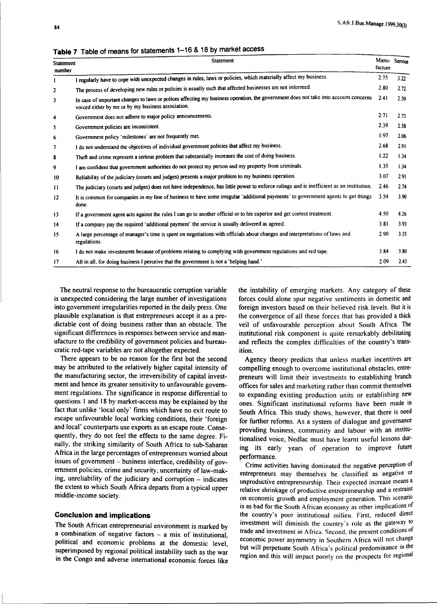| Statement<br>number | Statement                                                                                                                                                                                 | facture | Manu-Service |
|---------------------|-------------------------------------------------------------------------------------------------------------------------------------------------------------------------------------------|---------|--------------|
|                     | I regularly have to cope with unexpected changes in rules, laws or policies, which materially affect my business.                                                                         | 2.75    | 3.22         |
| $\overline{2}$      | The process of developing new rules or policies is usually such that affected businesses are not informed.                                                                                | 2.80    | 2.72         |
| 3                   | In case of important changes to laws or polices affecting my business operation, the government does not take into account concerns<br>voiced either by me or by my business association. | 2.41    | 2.39         |
| 4                   | Government does not adhere to major policy announcements.                                                                                                                                 | 2.71    | 2.73         |
| 5                   | Government policies are inconsistent.                                                                                                                                                     | 2.39    | 2.58         |
| 6                   | Government policy 'milestones' are not frequently met.                                                                                                                                    | 1.97    | 2.06         |
| 7                   | I do not understand the objectives of individual government policies that affect my business.                                                                                             | 2.68    | 2.91         |
| 8                   | Theft and crime represent a serious problem that substantially increases the cost of doing business.                                                                                      | 1.22    | 1.34         |
| 9                   | I am confident that government authorities do not protect my person and my property from criminals.                                                                                       | 1.35    | 1.34         |
| 10                  | Reliability of the judiciary (courts and judges) presents a major problem to my business operation.                                                                                       | 3.07    | 2.91         |
| $\mathbf{H}$        | The judiciary (courts and judges) does not have independence, has little power to enforce rulings and is inefficient as an institution.                                                   | 2.46    | 2.74         |
| 12                  | It is common for companies in my line of business to have some irregular 'additional payments' to government agents to get things<br>done.                                                | 3.54    | 3.90         |
| 13                  | If a government agent acts against the rules I can go to another official or to his superior and get correct treatment.                                                                   | 4.50    | 4.26         |
| 14                  | If a company pay the required 'additional payment' the service is usually delivered as agreed.                                                                                            | 3.81    | 3.93         |
| 15                  | A large percentage of manager's time is spent on negotiations with officials about changes and interpretations of laws and<br>regulations.                                                | 2.90    | 3.35         |
| 16                  | I do not make investments because of problems relating to complying with government regulations and red tape.                                                                             | 3.84    | 3.80         |
| 17                  | All in all, for doing business I perceive that the government is not a 'helping hand.'                                                                                                    | 2.09    | 2.43         |

**Table 7** Table of means for statements 1-16 & 18 by market access

The neutral response to the bureaucratic corruption variable is unexpected considering the large number of investigations into government irregularities reported in the daily press. One plausible explanation is that entrepreneurs accept it as a predictable cost of doing business rather than an obstacle. The significant differences in responses between service and manufacture to the credibility of government policies and bureaucratic red-tape variables are not altogether expected.

There appears to be no reason for the first but the second may be attributed to the relatively higher capital intensity of the manufacturing sector, the irreversibility of capital investment and hence its greater sensitivity to unfavourable government regulations. The significance in response differential to questions I and 18 by market-access may be explained by the fact that unlike 'local only' firms which have no exit route to escape unfavourable local working conditions, their 'foreign and local' counterparts use exports as an escape route. Consequently, they do not feel the effects to the same degree. Finally, the striking similarity of South Africa to sub-Saharan Africa in the large percentages of entrepreneurs worried about issues of government – business interface, credibility of government policies, crime and security, uncertainty of law-making, unreliability of the judiciary and corruption – indicates the extent to which South Africa departs from a typical upper middle-income society.

## **Conclusion and implications**

The South African entrepreneurial environment is marked by a combination of negative factors - a mix of institutional, political and economic problems at the domestic level, superimposed by regional political instability such as the war in the Congo and adverse international economic forces like the instability of emerging markets. Any category of these forces could alone spur negative sentiments in domestic and foreign investors based on their believed risk levels. But it is the convergence of all these forces that has provided a thick veil of unfavourable perception about South Africa. The institutional risk component is quite remarkably debilitating and reflects the complex difficulties of the country's transition.

Agency theory predicts that unless market incentives are compelling enough to overcome institutional obstacles, entrepreneurs will limit their investments to establishing branch offices for sales and marketing rather than commit themselves to expanding existing production units or establishing new ones. Significant institutional reforms have been made in South Africa. This study shows, however, that there is need for further reforms. As a system of dialogue and governance providing business, community and labour with an institutionalised voice, Nedlac must have learnt useful lessons during its early years of operation to improve future performance.

Crime activities having dominated the negative perception of entrepreneurs may themselves be classified as negative or unproductive entrepreneurship. Their expected increase means a relative shrinkage of productive entrepreneurship and a restraint on economic growth and employment generation. This scenario is as bad for the South African economy as other implications of the country's poor institutional milieu. First, reduced direct investment will diminish the country's role as the gateway to trade and investment in Africa. Second, the present conditions of economic power asymmetry in Southern Africa will not change but will perpetuate South Africa's political predominance in the region and this will impact poorly on the prospects for regional